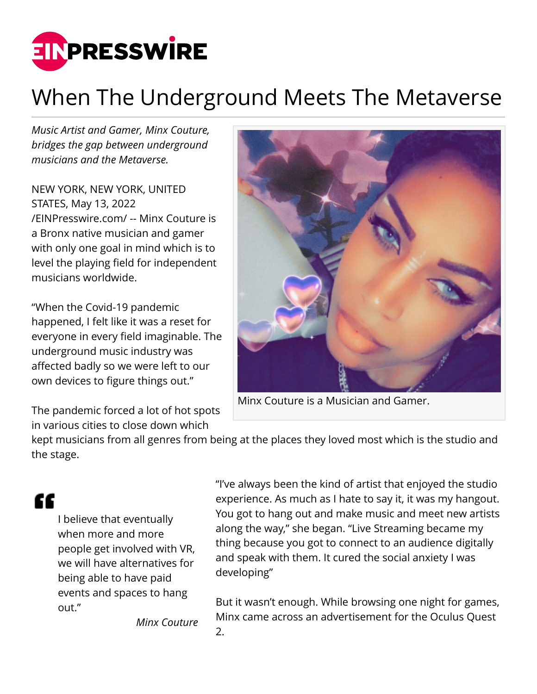

## When The Underground Meets The Metaverse

*Music Artist and Gamer, Minx Couture, bridges the gap between underground musicians and the Metaverse.*

NEW YORK, NEW YORK, UNITED STATES, May 13, 2022 [/EINPresswire.com/](http://www.einpresswire.com) -- Minx Couture is a Bronx native musician and gamer with only one goal in mind which is to level the playing field for independent musicians worldwide.

"When the Covid-19 pandemic happened, I felt like it was a reset for everyone in every field imaginable. The underground music industry was affected badly so we were left to our own devices to figure things out."

The pandemic forced a lot of hot spots in various cities to close down which



Minx Couture is a Musician and Gamer.

kept musicians from all genres from being at the places they loved most which is the studio and the stage.

££

I believe that eventually when more and more people get involved with VR, we will have alternatives for being able to have paid events and spaces to hang out."

"I've always been the kind of artist that enjoyed the studio experience. As much as I hate to say it, it was my hangout. You got to hang out and make music and meet new artists along the way," she began. "Live Streaming became my thing because you got to connect to an audience digitally and speak with them. It cured the social anxiety I was developing"

But it wasn't enough. While browsing one night for games, Minx came across an advertisement for the Oculus Quest 2.

*Minx Couture*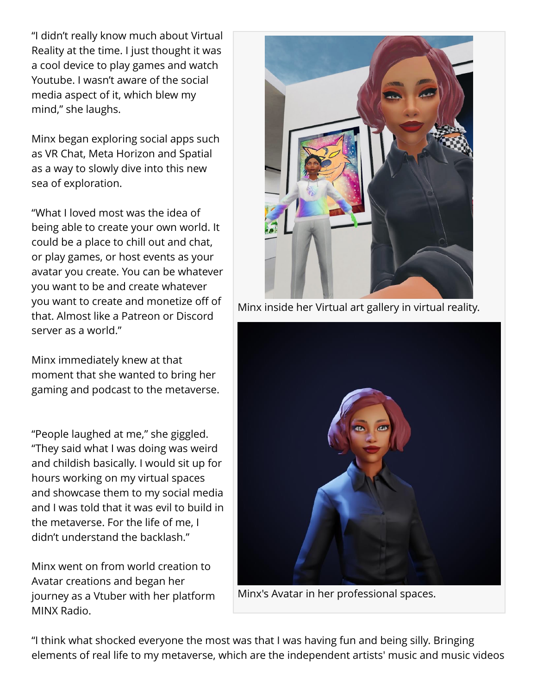"I didn't really know much about Virtual Reality at the time. I just thought it was a cool device to play games and watch Youtube. I wasn't aware of the social media aspect of it, which blew my mind," she laughs.

Minx began exploring social apps such as VR Chat, Meta Horizon and Spatial as a way to slowly dive into this new sea of exploration.

"What I loved most was the idea of being able to create your own world. It could be a place to chill out and chat, or play games, or host events as your avatar you create. You can be whatever you want to be and create whatever you want to create and monetize off of that. Almost like a Patreon or Discord server as a world."

Minx immediately knew at that moment that she wanted to bring her gaming and podcast to the metaverse.

"People laughed at me," she giggled. "They said what I was doing was weird and childish basically. I would sit up for hours working on my virtual spaces and showcase them to my social media and I was told that it was evil to build in the metaverse. For the life of me, I didn't understand the backlash."

Minx went on from world creation to Avatar creations and began her journey as a Vtuber with her platform MINX Radio.



Minx inside her Virtual art gallery in virtual reality.



Minx's Avatar in her professional spaces.

"I think what shocked everyone the most was that I was having fun and being silly. Bringing elements of real life to my metaverse, which are the independent artists' music and music videos